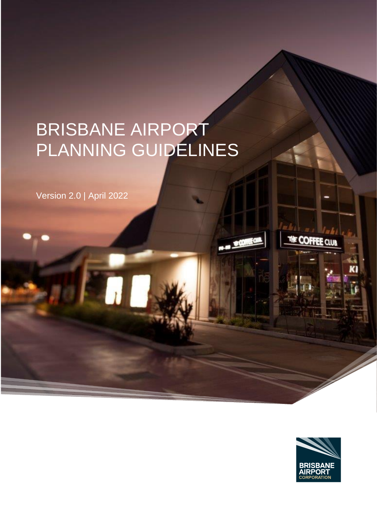# BRISBANE AIRPORT PLANNING GUIDELINES

Version 2.0 | April 2022



THE COFFEE CLU

K

**B-M SOMEON**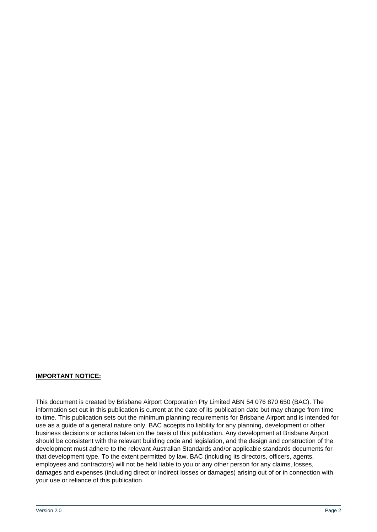#### **IMPORTANT NOTICE:**

This document is created by Brisbane Airport Corporation Pty Limited ABN 54 076 870 650 (BAC). The information set out in this publication is current at the date of its publication date but may change from time to time. This publication sets out the minimum planning requirements for Brisbane Airport and is intended for use as a guide of a general nature only. BAC accepts no liability for any planning, development or other business decisions or actions taken on the basis of this publication. Any development at Brisbane Airport should be consistent with the relevant building code and legislation, and the design and construction of the development must adhere to the relevant Australian Standards and/or applicable standards documents for that development type. To the extent permitted by law, BAC (including its directors, officers, agents, employees and contractors) will not be held liable to you or any other person for any claims, losses, damages and expenses (including direct or indirect losses or damages) arising out of or in connection with your use or reliance of this publication.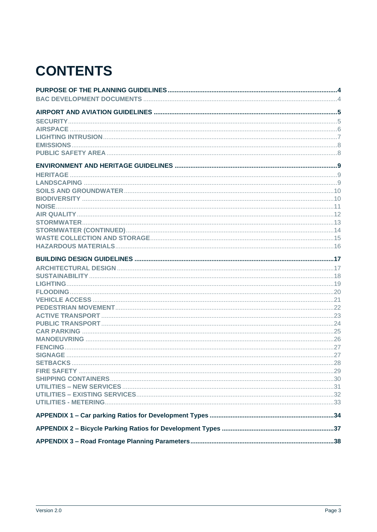# **CONTENTS**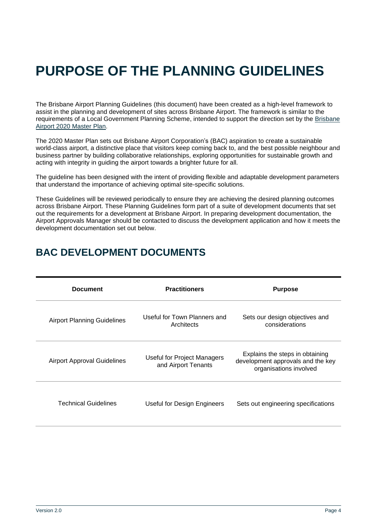# <span id="page-3-0"></span>**PURPOSE OF THE PLANNING GUIDELINES**

The Brisbane Airport Planning Guidelines (this document) have been created as a high-level framework to assist in the planning and development of sites across Brisbane Airport. The framework is similar to the requirements of a Local Government Planning Scheme, intended to support the direction set by the [Brisbane](https://www.bne.com.au/corporate/projects/airport-master-plan)  Airport 2020 [Master Plan.](https://www.bne.com.au/corporate/projects/airport-master-plan) 

The 2020 Master Plan sets out Brisbane Airport Corporation's (BAC) aspiration to create a sustainable world-class airport, a distinctive place that visitors keep coming back to, and the best possible neighbour and business partner by building collaborative relationships, exploring opportunities for sustainable growth and acting with integrity in guiding the airport towards a brighter future for all.

The quideline has been designed with the intent of providing flexible and adaptable development parameters that understand the importance of achieving optimal site-specific solutions.

These Guidelines will be reviewed periodically to ensure they are achieving the desired planning outcomes across Brisbane Airport. These Planning Guidelines form part of a suite of development documents that set out the requirements for a development at Brisbane Airport. In preparing development documentation, the Airport Approvals Manager should be contacted to discuss the development application and how it meets the development documentation set out below.

<span id="page-3-1"></span>

| <b>BAC DEVELOPMENT DOCUMENTS</b> |  |
|----------------------------------|--|
|                                  |  |

| <b>Document</b>                    | <b>Practitioners</b>                                      | <b>Purpose</b>                                                                                 |
|------------------------------------|-----------------------------------------------------------|------------------------------------------------------------------------------------------------|
| <b>Airport Planning Guidelines</b> | Useful for Town Planners and<br>Architects                | Sets our design objectives and<br>considerations                                               |
| <b>Airport Approval Guidelines</b> | <b>Useful for Project Managers</b><br>and Airport Tenants | Explains the steps in obtaining<br>development approvals and the key<br>organisations involved |
| <b>Technical Guidelines</b>        | Useful for Design Engineers                               | Sets out engineering specifications                                                            |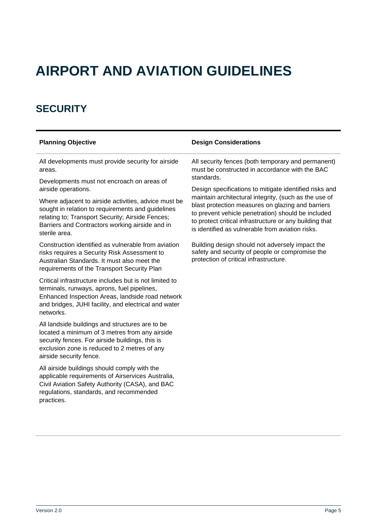# <span id="page-4-0"></span>**AIRPORT AND AVIATION GUIDELINES**

### <span id="page-4-1"></span>**SECURITY**

All developments must provide security for airside areas.

Developments must not encroach on areas of airside operations.

Where adjacent to airside activities, advice must be sought in relation to requirements and guidelines relating to; Transport Security; Airside Fences; Barriers and Contractors working airside and in sterile area.

Construction identified as vulnerable from aviation risks requires a Security Risk Assessment to Australian Standards. It must also meet the requirements of the Transport Security Plan

Critical infrastructure includes but is not limited to terminals, runways, aprons, fuel pipelines, Enhanced Inspection Areas, landside road network and bridges, JUHI facility, and electrical and water networks.

All landside buildings and structures are to be located a minimum of 3 metres from any airside security fences. For airside buildings, this is exclusion zone is reduced to 2 metres of any airside security fence.

All airside buildings should comply with the applicable requirements of Airservices Australia, Civil Aviation Safety Authority (CASA), and BAC regulations, standards, and recommended practices.

#### **Planning Objective Design Considerations**

All security fences (both temporary and permanent) must be constructed in accordance with the BAC standards.

Design specifications to mitigate identified risks and maintain architectural integrity, (such as the use of blast protection measures on glazing and barriers to prevent vehicle penetration) should be included to protect critical infrastructure or any building that is identified as vulnerable from aviation risks.

Building design should not adversely impact the safety and security of people or compromise the protection of critical infrastructure.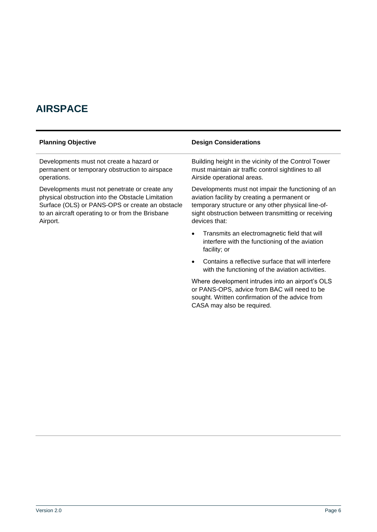## <span id="page-5-0"></span>**AIRSPACE**

Developments must not create a hazard or permanent or temporary obstruction to airspace operations.

Developments must not penetrate or create any physical obstruction into the Obstacle Limitation Surface (OLS) or PANS-OPS or create an obstacle to an aircraft operating to or from the Brisbane Airport.

#### **Planning Objective Design Considerations**

Building height in the vicinity of the Control Tower must maintain air traffic control sightlines to all Airside operational areas.

Developments must not impair the functioning of an aviation facility by creating a permanent or temporary structure or any other physical line-ofsight obstruction between transmitting or receiving devices that:

- Transmits an electromagnetic field that will interfere with the functioning of the aviation facility; or
- Contains a reflective surface that will interfere with the functioning of the aviation activities.

Where development intrudes into an airport's OLS or PANS-OPS, advice from BAC will need to be sought. Written confirmation of the advice from CASA may also be required.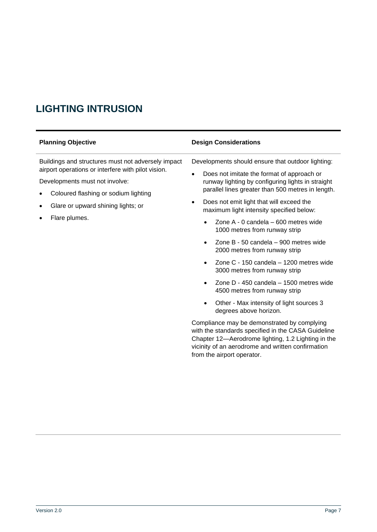## <span id="page-6-0"></span>**LIGHTING INTRUSION**

| <b>Planning Objective</b>                                                                                                                                                                                                                 | <b>Design Considerations</b>                                                                                                                                                                                                                                                                                                                                                                                                                                                                                                                                                                                                                                                                                                                                                                                                                                                                                                                                                         |
|-------------------------------------------------------------------------------------------------------------------------------------------------------------------------------------------------------------------------------------------|--------------------------------------------------------------------------------------------------------------------------------------------------------------------------------------------------------------------------------------------------------------------------------------------------------------------------------------------------------------------------------------------------------------------------------------------------------------------------------------------------------------------------------------------------------------------------------------------------------------------------------------------------------------------------------------------------------------------------------------------------------------------------------------------------------------------------------------------------------------------------------------------------------------------------------------------------------------------------------------|
| Buildings and structures must not adversely impact<br>airport operations or interfere with pilot vision.<br>Developments must not involve:<br>Coloured flashing or sodium lighting<br>Glare or upward shining lights; or<br>Flare plumes. | Developments should ensure that outdoor lighting:<br>Does not imitate the format of approach or<br>$\bullet$<br>runway lighting by configuring lights in straight<br>parallel lines greater than 500 metres in length.<br>Does not emit light that will exceed the<br>$\bullet$<br>maximum light intensity specified below:<br>Zone A - 0 candela - 600 metres wide<br>1000 metres from runway strip<br>Zone B - 50 candela - 900 metres wide<br>2000 metres from runway strip<br>Zone C - 150 candela - 1200 metres wide<br>$\bullet$<br>3000 metres from runway strip<br>Zone D - 450 candela - 1500 metres wide<br>$\bullet$<br>4500 metres from runway strip<br>Other - Max intensity of light sources 3<br>degrees above horizon.<br>Compliance may be demonstrated by complying<br>with the standards specified in the CASA Guideline<br>Chapter 12-Aerodrome lighting, 1.2 Lighting in the<br>vicinity of an aerodrome and written confirmation<br>from the airport operator. |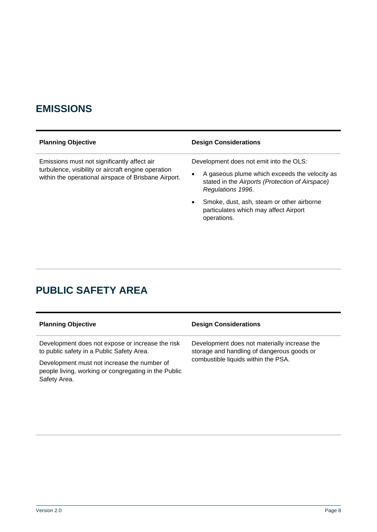#### <span id="page-7-0"></span>**EMISSIONS**

| <b>Planning Objective</b>                                                                                                                                  | <b>Design Considerations</b>                                                                                               |
|------------------------------------------------------------------------------------------------------------------------------------------------------------|----------------------------------------------------------------------------------------------------------------------------|
| Emissions must not significantly affect air<br>turbulence, visibility or aircraft engine operation<br>within the operational airspace of Brisbane Airport. | Development does not emit into the OLS:                                                                                    |
|                                                                                                                                                            | A gaseous plume which exceeds the velocity as<br>٠<br>stated in the Airports (Protection of Airspace)<br>Regulations 1996. |
|                                                                                                                                                            | Smoke, dust, ash, steam or other airborne<br>$\bullet$<br>particulates which may affect Airport<br>operations.             |
|                                                                                                                                                            |                                                                                                                            |

## <span id="page-7-1"></span>**PUBLIC SAFETY AREA**

| <b>Planning Objective</b>                                                                                           | <b>Design Considerations</b>                                                               |
|---------------------------------------------------------------------------------------------------------------------|--------------------------------------------------------------------------------------------|
| Development does not expose or increase the risk<br>to public safety in a Public Safety Area.                       | Development does not materially increase the<br>storage and handling of dangerous goods or |
| Development must not increase the number of<br>people living, working or congregating in the Public<br>Safety Area. | combustible liquids within the PSA.                                                        |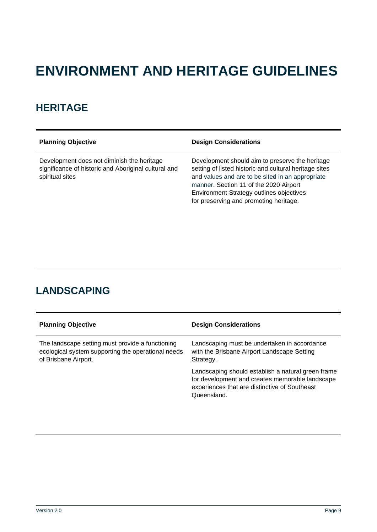# <span id="page-8-0"></span>**ENVIRONMENT AND HERITAGE GUIDELINES**

#### <span id="page-8-1"></span>**HERITAGE**

Development does not diminish the heritage significance of historic and Aboriginal cultural and spiritual sites

#### **Planning Objective Design Considerations**

Development should aim to preserve the heritage setting of listed historic and cultural heritage sites and values and are to be sited in an appropriate manner. Section 11 of the 2020 Airport Environment Strategy outlines objectives for preserving and promoting heritage.

#### <span id="page-8-2"></span>**LANDSCAPING**

| <b>Planning Objective</b>                                                                                                      | <b>Design Considerations</b>                                                                                                                                          |
|--------------------------------------------------------------------------------------------------------------------------------|-----------------------------------------------------------------------------------------------------------------------------------------------------------------------|
| The landscape setting must provide a functioning<br>ecological system supporting the operational needs<br>of Brisbane Airport. | Landscaping must be undertaken in accordance<br>with the Brisbane Airport Landscape Setting<br>Strategy.                                                              |
|                                                                                                                                | Landscaping should establish a natural green frame<br>for development and creates memorable landscape<br>experiences that are distinctive of Southeast<br>Queensland. |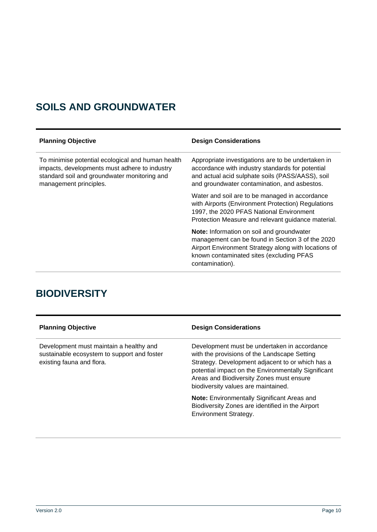## <span id="page-9-0"></span>**SOILS AND GROUNDWATER**

| <b>Planning Objective</b>                                                                                                                                                    | <b>Design Considerations</b>                                                                                                                                                                                         |
|------------------------------------------------------------------------------------------------------------------------------------------------------------------------------|----------------------------------------------------------------------------------------------------------------------------------------------------------------------------------------------------------------------|
| To minimise potential ecological and human health<br>impacts, developments must adhere to industry<br>standard soil and groundwater monitoring and<br>management principles. | Appropriate investigations are to be undertaken in<br>accordance with industry standards for potential<br>and actual acid sulphate soils (PASS/AASS), soil<br>and groundwater contamination, and asbestos.           |
|                                                                                                                                                                              | Water and soil are to be managed in accordance<br>with Airports (Environment Protection) Regulations<br>1997, the 2020 PFAS National Environment<br>Protection Measure and relevant guidance material.               |
|                                                                                                                                                                              | Note: Information on soil and groundwater<br>management can be found in Section 3 of the 2020<br>Airport Environment Strategy along with locations of<br>known contaminated sites (excluding PFAS<br>contamination). |

### <span id="page-9-1"></span>**BIODIVERSITY**

| <b>Planning Objective</b>                                                                                           | <b>Design Considerations</b>                                                                                                                                                                                                                                                               |
|---------------------------------------------------------------------------------------------------------------------|--------------------------------------------------------------------------------------------------------------------------------------------------------------------------------------------------------------------------------------------------------------------------------------------|
| Development must maintain a healthy and<br>sustainable ecosystem to support and foster<br>existing fauna and flora. | Development must be undertaken in accordance<br>with the provisions of the Landscape Setting<br>Strategy. Development adjacent to or which has a<br>potential impact on the Environmentally Significant<br>Areas and Biodiversity Zones must ensure<br>biodiversity values are maintained. |
|                                                                                                                     | <b>Note:</b> Environmentally Significant Areas and<br>Biodiversity Zones are identified in the Airport<br><b>Environment Strategy.</b>                                                                                                                                                     |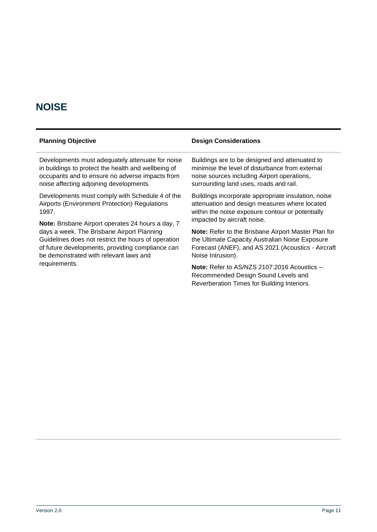#### <span id="page-10-0"></span>**NOISE**

requirements.

Guidelines does not restrict the hours of operation of future developments, providing compliance can

be demonstrated with relevant laws and

| <b>Planning Objective</b>                           | <b>Design Considerations</b>                        |
|-----------------------------------------------------|-----------------------------------------------------|
| Developments must adequately attenuate for noise    | Buildings are to be designed and attenuated to      |
| in buildings to protect the health and wellbeing of | minimise the level of disturbance from external     |
| occupants and to ensure no adverse impacts from     | noise sources including Airport operations,         |
| noise affecting adjoining developments.             | surrounding land uses, roads and rail.              |
| Developments must comply with Schedule 4 of the     | Buildings incorporate appropriate insulation, noise |
| Airports (Environment Protection) Regulations       | attenuation and design measures where located       |
| 1997.                                               | within the noise exposure contour or potentially    |
| Note: Brisbane Airport operates 24 hours a day, 7   | impacted by aircraft noise.                         |
| days a week. The Brisbane Airport Planning          | Note: Refer to the Brisbane Airport Master Plan for |

**Note:** Refer to the Brisbane Airport Master Plan for the Ultimate Capacity Australian Noise Exposure Forecast (ANEF), and AS 2021 (Acoustics - Aircraft Noise Intrusion).

**Note:** Refer to AS/NZS 2107:2016 Acoustics – Recommended Design Sound Levels and Reverberation Times for Building Interiors.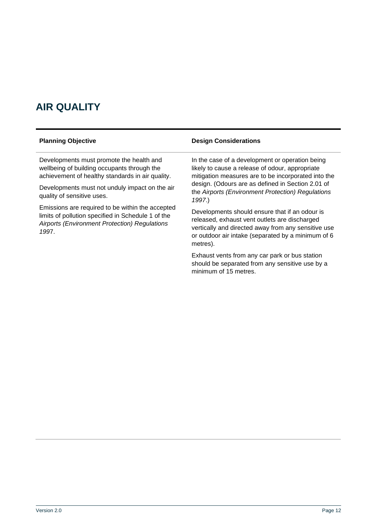### <span id="page-11-0"></span>**AIR QUALITY**

Developments must promote the health and wellbeing of building occupants through the achievement of healthy standards in air quality.

Developments must not unduly impact on the air quality of sensitive uses.

Emissions are required to be within the accepted limits of pollution specified in Schedule 1 of the *Airports (Environment Protection) Regulations 199*7.

#### **Planning Objective Design Considerations**

In the case of a development or operation being likely to cause a release of odour, appropriate mitigation measures are to be incorporated into the design. (Odours are as defined in Section 2.01 of the *Airports (Environment Protection) Regulations 1997*.)

Developments should ensure that if an odour is released, exhaust vent outlets are discharged vertically and directed away from any sensitive use or outdoor air intake (separated by a minimum of 6 metres).

Exhaust vents from any car park or bus station should be separated from any sensitive use by a minimum of 15 metres.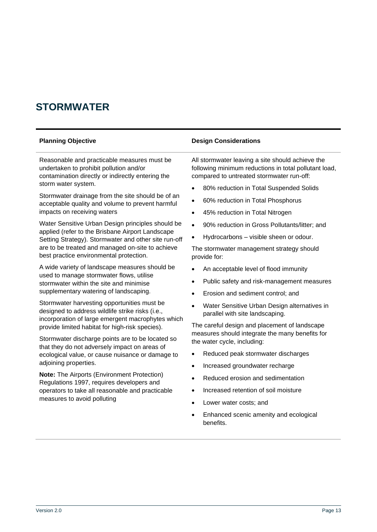#### <span id="page-12-0"></span>**STORMWATER**

Reasonable and practicable measures must be undertaken to prohibit pollution and/or contamination directly or indirectly entering the storm water system.

Stormwater drainage from the site should be of an acceptable quality and volume to prevent harmful impacts on receiving waters

Water Sensitive Urban Design principles should be applied (refer to the Brisbane Airport Landscape Setting Strategy). Stormwater and other site run-off are to be treated and managed on-site to achieve best practice environmental protection.

A wide variety of landscape measures should be used to manage stormwater flows, utilise stormwater within the site and minimise supplementary watering of landscaping.

Stormwater harvesting opportunities must be designed to address wildlife strike risks (i.e., incorporation of large emergent macrophytes which provide limited habitat for high-risk species).

Stormwater discharge points are to be located so that they do not adversely impact on areas of ecological value, or cause nuisance or damage to adjoining properties.

**Note:** The Airports (Environment Protection) Regulations 1997, requires developers and operators to take all reasonable and practicable measures to avoid polluting

#### **Planning Objective Design Considerations**

All stormwater leaving a site should achieve the following minimum reductions in total pollutant load, compared to untreated stormwater run-off:

- 80% reduction in Total Suspended Solids
- 60% reduction in Total Phosphorus
- 45% reduction in Total Nitrogen
- 90% reduction in Gross Pollutants/litter; and
- Hydrocarbons visible sheen or odour.

The stormwater management strategy should provide for:

- An acceptable level of flood immunity
- Public safety and risk-management measures
- Erosion and sediment control; and
- Water Sensitive Urban Design alternatives in parallel with site landscaping.

The careful design and placement of landscape measures should integrate the many benefits for the water cycle, including:

- Reduced peak stormwater discharges
- Increased groundwater recharge
- Reduced erosion and sedimentation
- Increased retention of soil moisture
- Lower water costs; and
- Enhanced scenic amenity and ecological benefits.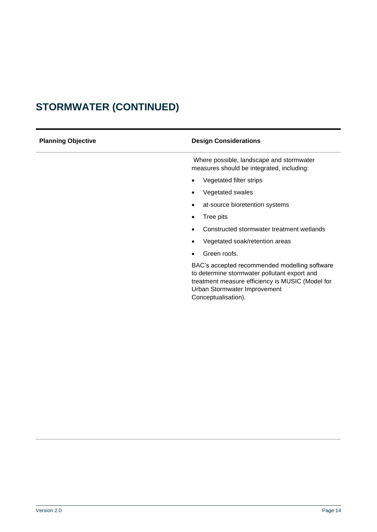# <span id="page-13-0"></span>**STORMWATER (CONTINUED)**

| <b>Planning Objective</b> | <b>Design Considerations</b>                                                                                                                                                                             |
|---------------------------|----------------------------------------------------------------------------------------------------------------------------------------------------------------------------------------------------------|
|                           | Where possible, landscape and stormwater<br>measures should be integrated, including:                                                                                                                    |
|                           | Vegetated filter strips                                                                                                                                                                                  |
|                           | Vegetated swales                                                                                                                                                                                         |
|                           | at-source bioretention systems<br>٠                                                                                                                                                                      |
|                           | Tree pits                                                                                                                                                                                                |
|                           | Constructed stormwater treatment wetlands                                                                                                                                                                |
|                           | Vegetated soak/retention areas                                                                                                                                                                           |
|                           | Green roofs.                                                                                                                                                                                             |
|                           | BAC's accepted recommended modelling software<br>to determine stormwater pollutant export and<br>treatment measure efficiency is MUSIC (Model for<br>Urban Stormwater Improvement<br>Conceptualisation). |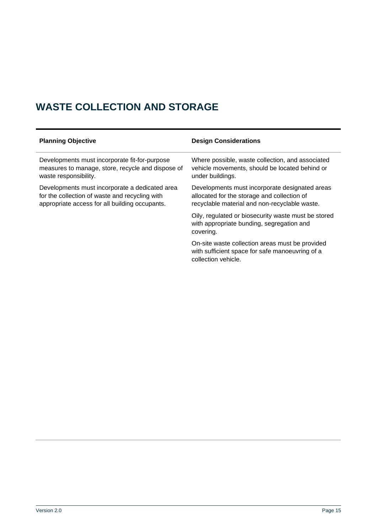## <span id="page-14-0"></span>**WASTE COLLECTION AND STORAGE**

| <b>Planning Objective</b>                                                                                                                          | <b>Design Considerations</b>                                                                                                                   |
|----------------------------------------------------------------------------------------------------------------------------------------------------|------------------------------------------------------------------------------------------------------------------------------------------------|
| Developments must incorporate fit-for-purpose<br>measures to manage, store, recycle and dispose of<br>waste responsibility.                        | Where possible, waste collection, and associated<br>vehicle movements, should be located behind or<br>under buildings.                         |
| Developments must incorporate a dedicated area<br>for the collection of waste and recycling with<br>appropriate access for all building occupants. | Developments must incorporate designated areas<br>allocated for the storage and collection of<br>recyclable material and non-recyclable waste. |
|                                                                                                                                                    | Oily, regulated or biosecurity waste must be stored<br>with appropriate bunding, segregation and<br>covering.                                  |
|                                                                                                                                                    | On-site waste collection areas must be provided<br>with sufficient space for safe manoeuvring of a<br>collection vehicle.                      |
|                                                                                                                                                    |                                                                                                                                                |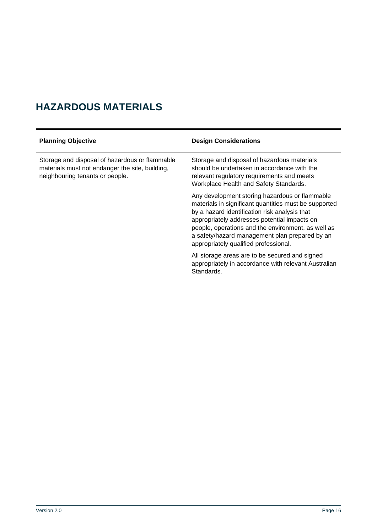## <span id="page-15-0"></span>**HAZARDOUS MATERIALS**

| <b>Planning Objective</b>                                                                                                            | <b>Design Considerations</b>                                                                                                                                                                                                                                                                                                                              |
|--------------------------------------------------------------------------------------------------------------------------------------|-----------------------------------------------------------------------------------------------------------------------------------------------------------------------------------------------------------------------------------------------------------------------------------------------------------------------------------------------------------|
| Storage and disposal of hazardous or flammable<br>materials must not endanger the site, building,<br>neighbouring tenants or people. | Storage and disposal of hazardous materials<br>should be undertaken in accordance with the<br>relevant regulatory requirements and meets<br>Workplace Health and Safety Standards.                                                                                                                                                                        |
|                                                                                                                                      | Any development storing hazardous or flammable<br>materials in significant quantities must be supported<br>by a hazard identification risk analysis that<br>appropriately addresses potential impacts on<br>people, operations and the environment, as well as<br>a safety/hazard management plan prepared by an<br>appropriately qualified professional. |
|                                                                                                                                      | All storage areas are to be secured and signed<br>appropriately in accordance with relevant Australian<br>Standards.                                                                                                                                                                                                                                      |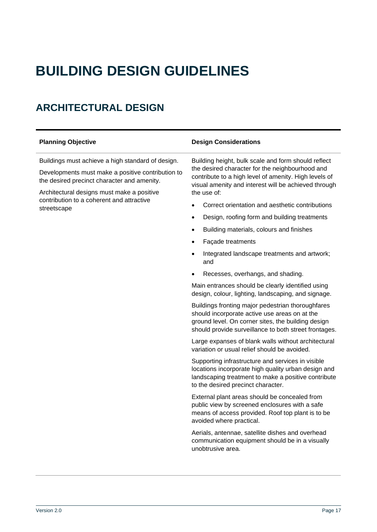# <span id="page-16-0"></span>**BUILDING DESIGN GUIDELINES**

## <span id="page-16-1"></span>**ARCHITECTURAL DESIGN**

Buildings must achieve a high standard of design.

Developments must make a positive contribution to the desired precinct character and amenity.

Architectural designs must make a positive contribution to a coherent and attractive streetscape

#### **Planning Objective Design Considerations**

Building height, bulk scale and form should reflect the desired character for the neighbourhood and contribute to a high level of amenity. High levels of visual amenity and interest will be achieved through the use of:

- Correct orientation and aesthetic contributions
- Design, roofing form and building treatments
- Building materials, colours and finishes
- Façade treatments
- Integrated landscape treatments and artwork: and
- Recesses, overhangs, and shading.

Main entrances should be clearly identified using design, colour, lighting, landscaping, and signage.

Buildings fronting major pedestrian thoroughfares should incorporate active use areas on at the ground level. On corner sites, the building design should provide surveillance to both street frontages.

Large expanses of blank walls without architectural variation or usual relief should be avoided.

Supporting infrastructure and services in visible locations incorporate high quality urban design and landscaping treatment to make a positive contribute to the desired precinct character.

External plant areas should be concealed from public view by screened enclosures with a safe means of access provided. Roof top plant is to be avoided where practical.

Aerials, antennae, satellite dishes and overhead communication equipment should be in a visually unobtrusive area.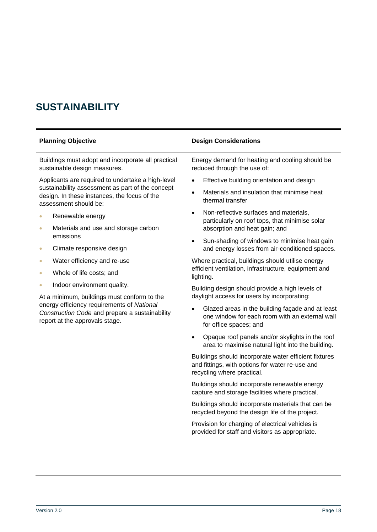#### <span id="page-17-0"></span>**SUSTAINABILITY**

Buildings must adopt and incorporate all practical sustainable design measures.

Applicants are required to undertake a high-level sustainability assessment as part of the concept design. In these instances, the focus of the assessment should be:

- Renewable energy
- Materials and use and storage carbon emissions
- Climate responsive design
- Water efficiency and re-use
- Whole of life costs; and
- Indoor environment quality.

At a minimum, buildings must conform to the energy efficiency requirements of *National Construction Code* and prepare a sustainability report at the approvals stage.

#### **Planning Objective Design Considerations**

Energy demand for heating and cooling should be reduced through the use of:

- Effective building orientation and design
- Materials and insulation that minimise heat thermal transfer
- Non-reflective surfaces and materials, particularly on roof tops, that minimise solar absorption and heat gain; and
- Sun-shading of windows to minimise heat gain and energy losses from air-conditioned spaces.

Where practical, buildings should utilise energy efficient ventilation, infrastructure, equipment and lighting.

Building design should provide a high levels of daylight access for users by incorporating:

- Glazed areas in the building façade and at least one window for each room with an external wall for office spaces; and
- Opaque roof panels and/or skylights in the roof area to maximise natural light into the building.

Buildings should incorporate water efficient fixtures and fittings, with options for water re-use and recycling where practical.

Buildings should incorporate renewable energy capture and storage facilities where practical.

Buildings should incorporate materials that can be recycled beyond the design life of the project.

Provision for charging of electrical vehicles is provided for staff and visitors as appropriate.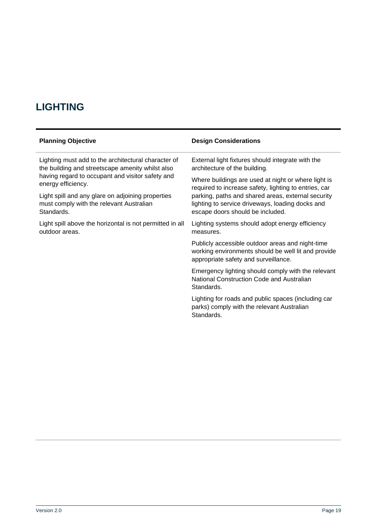## <span id="page-18-0"></span>**LIGHTING**

| <b>Planning Objective</b>                                | <b>Design Considerations</b>                                                                                                                    |
|----------------------------------------------------------|-------------------------------------------------------------------------------------------------------------------------------------------------|
| Lighting must add to the architectural character of      | External light fixtures should integrate with the                                                                                               |
| the building and streetscape amenity whilst also         | architecture of the building.                                                                                                                   |
| having regard to occupant and visitor safety and         | Where buildings are used at night or where light is                                                                                             |
| energy efficiency.                                       | required to increase safety, lighting to entries, car                                                                                           |
| Light spill and any glare on adjoining properties        | parking, paths and shared areas, external security                                                                                              |
| must comply with the relevant Australian                 | lighting to service driveways, loading docks and                                                                                                |
| Standards.                                               | escape doors should be included.                                                                                                                |
| Light spill above the horizontal is not permitted in all | Lighting systems should adopt energy efficiency                                                                                                 |
| outdoor areas.                                           | measures.                                                                                                                                       |
|                                                          | Publicly accessible outdoor areas and night-time<br>working environments should be well lit and provide<br>appropriate safety and surveillance. |
|                                                          | Emergency lighting should comply with the relevant<br>National Construction Code and Australian<br>Standards.                                   |
|                                                          | Lighting for roads and public spaces (including car<br>parks) comply with the relevant Australian                                               |

Standards.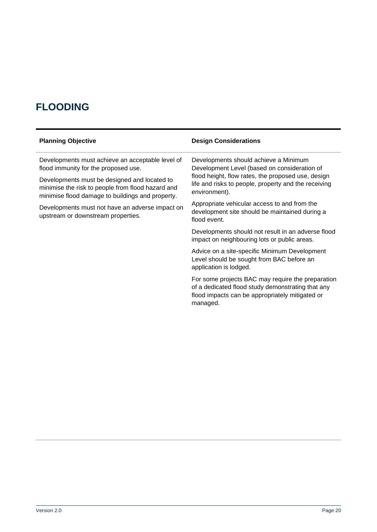## <span id="page-19-0"></span>**FLOODING**

| <b>Planning Objective</b>                                                                                                                             | <b>Design Considerations</b>                                                                                                                                          |
|-------------------------------------------------------------------------------------------------------------------------------------------------------|-----------------------------------------------------------------------------------------------------------------------------------------------------------------------|
| Developments must achieve an acceptable level of<br>flood immunity for the proposed use.                                                              | Developments should achieve a Minimum<br>Development Level (based on consideration of                                                                                 |
| Developments must be designed and located to<br>minimise the risk to people from flood hazard and<br>minimise flood damage to buildings and property. | flood height, flow rates, the proposed use, design<br>life and risks to people, property and the receiving<br>environment).                                           |
| Developments must not have an adverse impact on<br>upstream or downstream properties.                                                                 | Appropriate vehicular access to and from the<br>development site should be maintained during a<br>flood event.                                                        |
|                                                                                                                                                       | Developments should not result in an adverse flood<br>impact on neighbouring lots or public areas.                                                                    |
|                                                                                                                                                       | Advice on a site-specific Minimum Development<br>Level should be sought from BAC before an<br>application is lodged.                                                  |
|                                                                                                                                                       | For some projects BAC may require the preparation<br>of a dedicated flood study demonstrating that any<br>flood impacts can be appropriately mitigated or<br>managed. |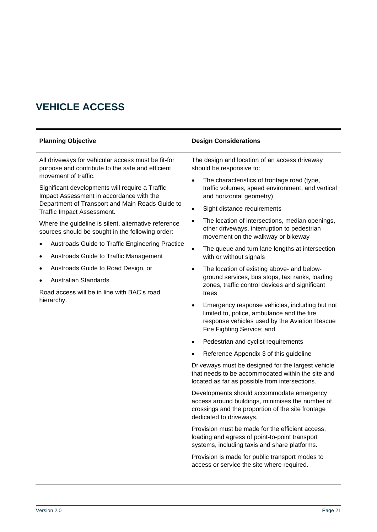### <span id="page-20-0"></span>**VEHICLE ACCESS**

All driveways for vehicular access must be fit-for purpose and contribute to the safe and efficient movement of traffic.

Significant developments will require a Traffic Impact Assessment in accordance with the Department of Transport and Main Roads Guide to Traffic Impact Assessment.

Where the guideline is silent, alternative reference sources should be sought in the following order:

- Austroads Guide to Traffic Engineering Practice
- Austroads Guide to Traffic Management
- Austroads Guide to Road Design, or
- Australian Standards.

Road access will be in line with BAC's road hierarchy.

#### **Planning Objective Design Considerations**

The design and location of an access driveway should be responsive to:

- The characteristics of frontage road (type, traffic volumes, speed environment, and vertical and horizontal geometry)
- Sight distance requirements
- The location of intersections, median openings, other driveways, interruption to pedestrian movement on the walkway or bikeway
- The queue and turn lane lengths at intersection with or without signals
- The location of existing above- and belowground services, bus stops, taxi ranks, loading zones, traffic control devices and significant trees
- Emergency response vehicles, including but not limited to, police, ambulance and the fire response vehicles used by the Aviation Rescue Fire Fighting Service; and
- Pedestrian and cyclist requirements
- Reference Appendix 3 of this guideline

Driveways must be designed for the largest vehicle that needs to be accommodated within the site and located as far as possible from intersections.

Developments should accommodate emergency access around buildings, minimises the number of crossings and the proportion of the site frontage dedicated to driveways.

Provision must be made for the efficient access, loading and egress of point-to-point transport systems, including taxis and share platforms.

Provision is made for public transport modes to access or service the site where required.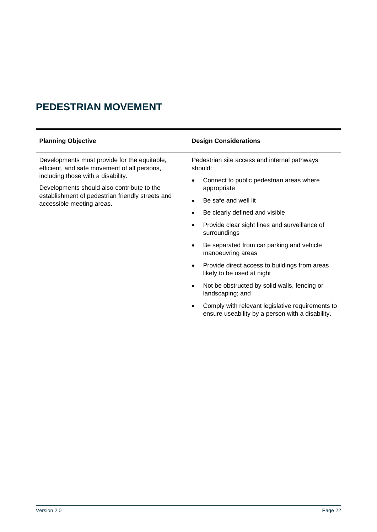#### <span id="page-21-0"></span>**PEDESTRIAN MOVEMENT**

| <b>Planning Objective</b>                                                                                                                                                                                                                                         | <b>Design Considerations</b>                                                             |
|-------------------------------------------------------------------------------------------------------------------------------------------------------------------------------------------------------------------------------------------------------------------|------------------------------------------------------------------------------------------|
| Developments must provide for the equitable,<br>efficient, and safe movement of all persons,<br>including those with a disability.<br>Developments should also contribute to the<br>establishment of pedestrian friendly streets and<br>accessible meeting areas. | Pedestrian site access and internal pathways<br>should:                                  |
|                                                                                                                                                                                                                                                                   | Connect to public pedestrian areas where<br>$\bullet$<br>appropriate                     |
|                                                                                                                                                                                                                                                                   | Be safe and well lit<br>$\bullet$                                                        |
|                                                                                                                                                                                                                                                                   | Be clearly defined and visible<br>$\bullet$                                              |
|                                                                                                                                                                                                                                                                   | Provide clear sight lines and surveillance of<br>$\bullet$<br>surroundings               |
|                                                                                                                                                                                                                                                                   | Be separated from car parking and vehicle<br>$\bullet$<br>manoeuvring areas              |
|                                                                                                                                                                                                                                                                   | Provide direct access to buildings from areas<br>$\bullet$<br>likely to be used at night |

• Not be obstructed by solid walls, fencing or landscaping; and

• Comply with relevant legislative requirements to ensure useability by a person with a disability.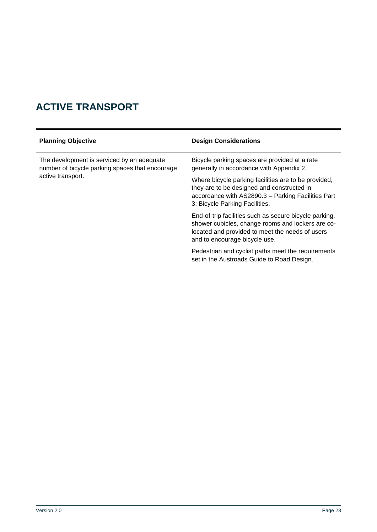## <span id="page-22-0"></span>**ACTIVE TRANSPORT**

| <b>Planning Objective</b>                                                                                          | <b>Design Considerations</b>                                                                                                                                                                    |
|--------------------------------------------------------------------------------------------------------------------|-------------------------------------------------------------------------------------------------------------------------------------------------------------------------------------------------|
| The development is serviced by an adequate<br>number of bicycle parking spaces that encourage<br>active transport. | Bicycle parking spaces are provided at a rate<br>generally in accordance with Appendix 2.                                                                                                       |
|                                                                                                                    | Where bicycle parking facilities are to be provided,<br>they are to be designed and constructed in<br>accordance with AS2890.3 - Parking Facilities Part<br>3: Bicycle Parking Facilities.      |
|                                                                                                                    | End-of-trip facilities such as secure bicycle parking,<br>shower cubicles, change rooms and lockers are co-<br>located and provided to meet the needs of users<br>and to encourage bicycle use. |
|                                                                                                                    | Pedestrian and cyclist paths meet the requirements<br>set in the Austroads Guide to Road Design.                                                                                                |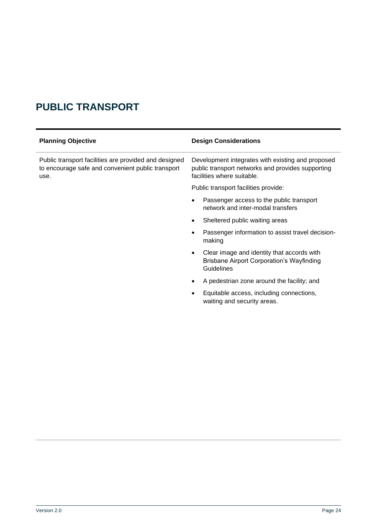### <span id="page-23-0"></span>**PUBLIC TRANSPORT**

| <b>Planning Objective</b>                                                                                          | <b>Design Considerations</b>                                                                                                         |
|--------------------------------------------------------------------------------------------------------------------|--------------------------------------------------------------------------------------------------------------------------------------|
| Public transport facilities are provided and designed<br>to encourage safe and convenient public transport<br>use. | Development integrates with existing and proposed<br>public transport networks and provides supporting<br>facilities where suitable. |
|                                                                                                                    | Public transport facilities provide:                                                                                                 |
|                                                                                                                    | Passenger access to the public transport<br>$\bullet$<br>network and inter-modal transfers                                           |
|                                                                                                                    | Sheltered public waiting areas<br>$\bullet$                                                                                          |
|                                                                                                                    | Passenger information to assist travel decision-<br>$\bullet$<br>making                                                              |
|                                                                                                                    | Clear image and identity that accords with<br>$\bullet$<br><b>Brisbane Airport Corporation's Wayfinding</b><br>Guidelines            |
|                                                                                                                    | A pedestrian zone around the facility; and<br>$\bullet$                                                                              |
|                                                                                                                    | Equitable access, including connections,<br>waiting and security areas.                                                              |
|                                                                                                                    |                                                                                                                                      |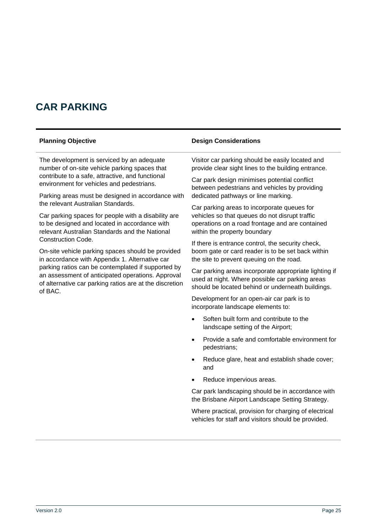### <span id="page-24-0"></span>**CAR PARKING**

The development is serviced by an adequate number of on-site vehicle parking spaces that contribute to a safe, attractive, and functional environment for vehicles and pedestrians.

Parking areas must be designed in accordance with the relevant Australian Standards.

Car parking spaces for people with a disability are to be designed and located in accordance with relevant Australian Standards and the National Construction Code.

On-site vehicle parking spaces should be provided in accordance with Appendix 1. Alternative car parking ratios can be contemplated if supported by an assessment of anticipated operations. Approval of alternative car parking ratios are at the discretion of BAC.

#### **Planning Objective Design Considerations**

Visitor car parking should be easily located and provide clear sight lines to the building entrance.

Car park design minimises potential conflict between pedestrians and vehicles by providing dedicated pathways or line marking.

Car parking areas to incorporate queues for vehicles so that queues do not disrupt traffic operations on a road frontage and are contained within the property boundary

If there is entrance control, the security check, boom gate or card reader is to be set back within the site to prevent queuing on the road.

Car parking areas incorporate appropriate lighting if used at night. Where possible car parking areas should be located behind or underneath buildings.

Development for an open-air car park is to incorporate landscape elements to:

- Soften built form and contribute to the landscape setting of the Airport;
- Provide a safe and comfortable environment for pedestrians;
- Reduce glare, heat and establish shade cover; and
- Reduce impervious areas.

Car park landscaping should be in accordance with the Brisbane Airport Landscape Setting Strategy.

Where practical, provision for charging of electrical vehicles for staff and visitors should be provided.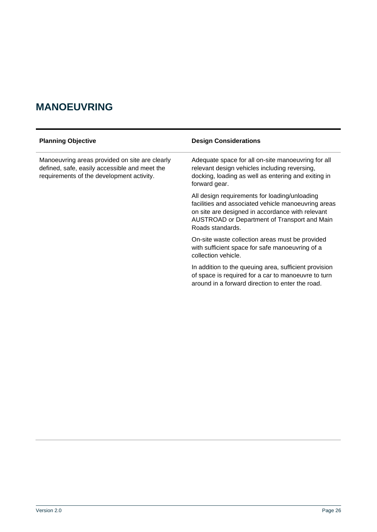### <span id="page-25-0"></span>**MANOEUVRING**

| <b>Planning Objective</b>                                                                                                                    | <b>Design Considerations</b>                                                                                                                                                                                                 |
|----------------------------------------------------------------------------------------------------------------------------------------------|------------------------------------------------------------------------------------------------------------------------------------------------------------------------------------------------------------------------------|
| Manoeuvring areas provided on site are clearly<br>defined, safe, easily accessible and meet the<br>requirements of the development activity. | Adequate space for all on-site manoeuvring for all<br>relevant design vehicles including reversing,<br>docking, loading as well as entering and exiting in<br>forward gear.                                                  |
|                                                                                                                                              | All design requirements for loading/unloading<br>facilities and associated vehicle manoeuvring areas<br>on site are designed in accordance with relevant<br>AUSTROAD or Department of Transport and Main<br>Roads standards. |
|                                                                                                                                              | On-site waste collection areas must be provided<br>with sufficient space for safe manoeuvring of a<br>collection vehicle.                                                                                                    |
|                                                                                                                                              | In addition to the queuing area, sufficient provision<br>of space is required for a car to manoeuvre to turn<br>around in a forward direction to enter the road.                                                             |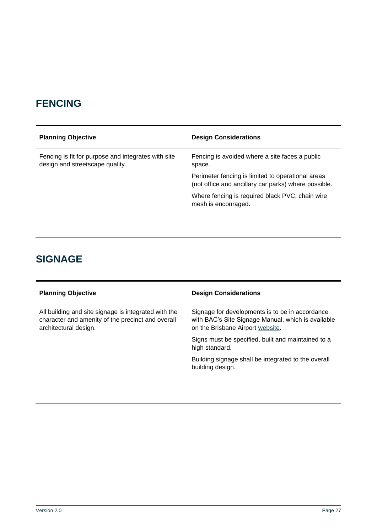### <span id="page-26-0"></span>**FENCING**

| <b>Planning Objective</b>                                                              | <b>Design Considerations</b>                                                                              |
|----------------------------------------------------------------------------------------|-----------------------------------------------------------------------------------------------------------|
| Fencing is fit for purpose and integrates with site<br>design and streetscape quality. | Fencing is avoided where a site faces a public<br>space.                                                  |
|                                                                                        | Perimeter fencing is limited to operational areas<br>(not office and ancillary car parks) where possible. |
|                                                                                        | Where fencing is required black PVC, chain wire<br>mesh is encouraged.                                    |

### <span id="page-26-1"></span>**SIGNAGE**

| <b>Design Considerations</b>                                                                                                              |
|-------------------------------------------------------------------------------------------------------------------------------------------|
| Signage for developments is to be in accordance<br>with BAC's Site Signage Manual, which is available<br>on the Brisbane Airport website. |
| Signs must be specified, built and maintained to a<br>high standard.                                                                      |
| Building signage shall be integrated to the overall<br>building design.                                                                   |
|                                                                                                                                           |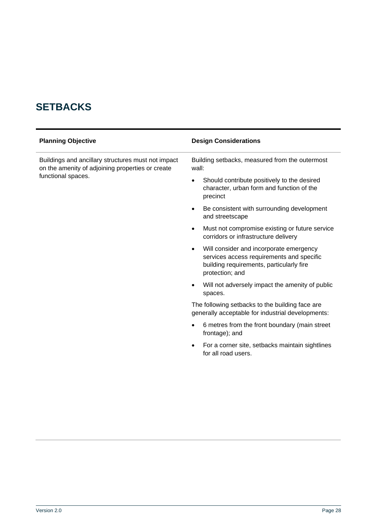## <span id="page-27-0"></span>**SETBACKS**

| <b>Planning Objective</b>                                                                                                    | <b>Design Considerations</b>                                                                                                                                     |
|------------------------------------------------------------------------------------------------------------------------------|------------------------------------------------------------------------------------------------------------------------------------------------------------------|
| Buildings and ancillary structures must not impact<br>on the amenity of adjoining properties or create<br>functional spaces. | Building setbacks, measured from the outermost<br>wall:                                                                                                          |
|                                                                                                                              | Should contribute positively to the desired<br>character, urban form and function of the<br>precinct                                                             |
|                                                                                                                              | Be consistent with surrounding development<br>$\bullet$<br>and streetscape                                                                                       |
|                                                                                                                              | Must not compromise existing or future service<br>$\bullet$<br>corridors or infrastructure delivery                                                              |
|                                                                                                                              | Will consider and incorporate emergency<br>$\bullet$<br>services access requirements and specific<br>building requirements, particularly fire<br>protection; and |
|                                                                                                                              | Will not adversely impact the amenity of public<br>spaces.                                                                                                       |
|                                                                                                                              | The following setbacks to the building face are<br>generally acceptable for industrial developments:                                                             |
|                                                                                                                              | 6 metres from the front boundary (main street<br>$\bullet$<br>frontage); and                                                                                     |
|                                                                                                                              | For a corner site, setbacks maintain sightlines<br>$\bullet$<br>for all road users.                                                                              |
|                                                                                                                              |                                                                                                                                                                  |
|                                                                                                                              |                                                                                                                                                                  |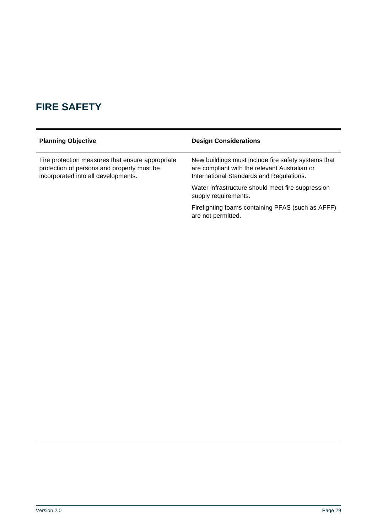## <span id="page-28-0"></span>**FIRE SAFETY**

| <b>Planning Objective</b>                                                                                                             | <b>Design Considerations</b>                                                                                                                     |
|---------------------------------------------------------------------------------------------------------------------------------------|--------------------------------------------------------------------------------------------------------------------------------------------------|
| Fire protection measures that ensure appropriate<br>protection of persons and property must be<br>incorporated into all developments. | New buildings must include fire safety systems that<br>are compliant with the relevant Australian or<br>International Standards and Regulations. |
|                                                                                                                                       | Water infrastructure should meet fire suppression<br>supply requirements.                                                                        |
|                                                                                                                                       | Firefighting foams containing PFAS (such as AFFF)                                                                                                |

are not permitted.

Version 2.0 Page 29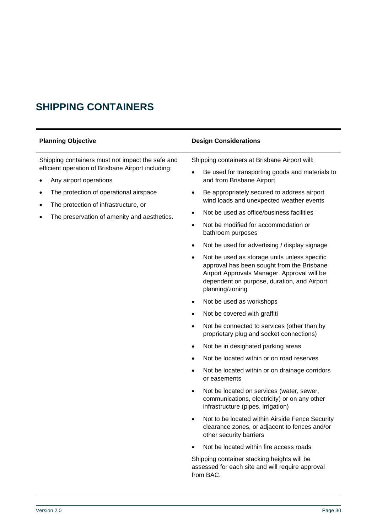## <span id="page-29-0"></span>**SHIPPING CONTAINERS**

Shipping containers must not impact the safe and efficient operation of Brisbane Airport including:

- Any airport operations
- The protection of operational airspace
- The protection of infrastructure, or
- The preservation of amenity and aesthetics.

#### **Planning Objective Design Considerations**

Shipping containers at Brisbane Airport will:

- Be used for transporting goods and materials to and from Brisbane Airport
- Be appropriately secured to address airport wind loads and unexpected weather events
- Not be used as office/business facilities
- Not be modified for accommodation or bathroom purposes
- Not be used for advertising / display signage
- Not be used as storage units unless specific approval has been sought from the Brisbane Airport Approvals Manager. Approval will be dependent on purpose, duration, and Airport planning/zoning
- Not be used as workshops
- Not be covered with graffiti
- Not be connected to services (other than by proprietary plug and socket connections)
- Not be in designated parking areas
- Not be located within or on road reserves
- Not be located within or on drainage corridors or easements
- Not be located on services (water, sewer, communications, electricity) or on any other infrastructure (pipes, irrigation)
- Not to be located within Airside Fence Security clearance zones, or adjacent to fences and/or other security barriers
- Not be located within fire access roads

Shipping container stacking heights will be assessed for each site and will require approval from BAC.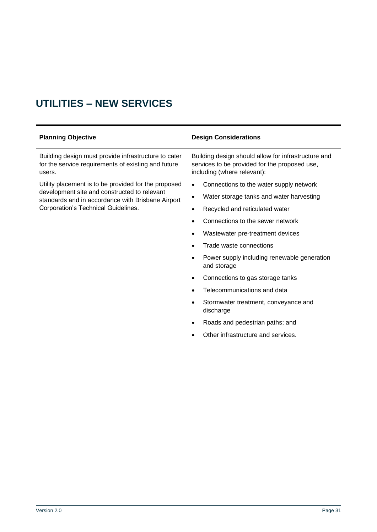## <span id="page-30-0"></span>**UTILITIES – NEW SERVICES**

| <b>Planning Objective</b>                                                                                             | <b>Design Considerations</b>                                                                                                        |
|-----------------------------------------------------------------------------------------------------------------------|-------------------------------------------------------------------------------------------------------------------------------------|
| Building design must provide infrastructure to cater<br>for the service requirements of existing and future<br>users. | Building design should allow for infrastructure and<br>services to be provided for the proposed use,<br>including (where relevant): |
| Utility placement is to be provided for the proposed                                                                  | Connections to the water supply network<br>٠                                                                                        |
| development site and constructed to relevant<br>standards and in accordance with Brisbane Airport                     | Water storage tanks and water harvesting<br>٠                                                                                       |
| Corporation's Technical Guidelines.                                                                                   | Recycled and reticulated water<br>$\bullet$                                                                                         |
|                                                                                                                       | Connections to the sewer network                                                                                                    |
|                                                                                                                       | Wastewater pre-treatment devices<br>$\bullet$                                                                                       |
|                                                                                                                       | Trade waste connections                                                                                                             |
|                                                                                                                       | Power supply including renewable generation<br>and storage                                                                          |
|                                                                                                                       | Connections to gas storage tanks                                                                                                    |
|                                                                                                                       | Telecommunications and data                                                                                                         |
|                                                                                                                       | Stormwater treatment, conveyance and<br>$\bullet$<br>discharge                                                                      |
|                                                                                                                       | Roads and pedestrian paths; and                                                                                                     |
|                                                                                                                       | Other infrastructure and services.                                                                                                  |
|                                                                                                                       |                                                                                                                                     |
|                                                                                                                       |                                                                                                                                     |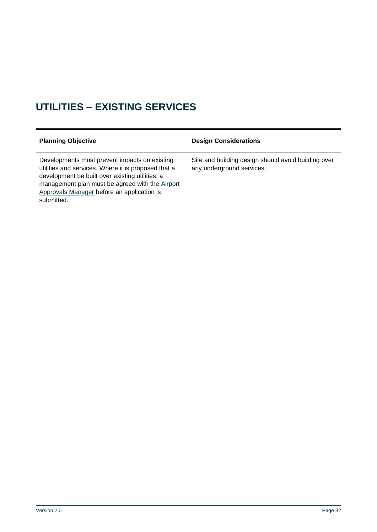## <span id="page-31-0"></span>**UTILITIES – EXISTING SERVICES**

| <b>Planning Objective</b>                                                                                                                                                                                                                                              | <b>Design Considerations</b>                                                     |
|------------------------------------------------------------------------------------------------------------------------------------------------------------------------------------------------------------------------------------------------------------------------|----------------------------------------------------------------------------------|
| Developments must prevent impacts on existing<br>utilities and services. Where it is proposed that a<br>development be built over existing utilities, a<br>management plan must be agreed with the Airport<br>Approvals Manager before an application is<br>submitted. | Site and building design should avoid building over<br>any underground services. |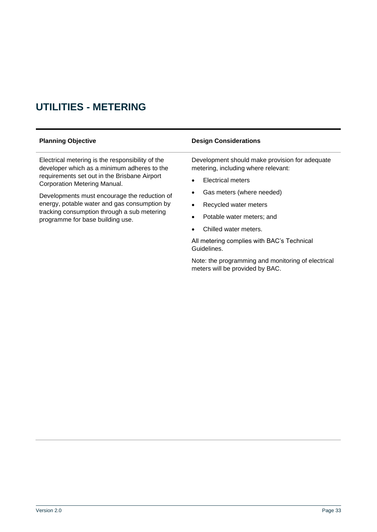## <span id="page-32-0"></span>**UTILITIES - METERING**

Electrical metering is the responsibility of the developer which as a minimum adheres to the requirements set out in the Brisbane Airport Corporation Metering Manual.

Developments must encourage the reduction of energy, potable water and gas consumption by tracking consumption through a sub metering programme for base building use.

#### **Planning Objective Design Considerations**

Development should make provision for adequate metering, including where relevant:

- **Electrical meters**
- Gas meters (where needed)
- Recycled water meters
- Potable water meters; and
- Chilled water meters.

All metering complies with BAC's Technical Guidelines.

Note: the programming and monitoring of electrical meters will be provided by BAC.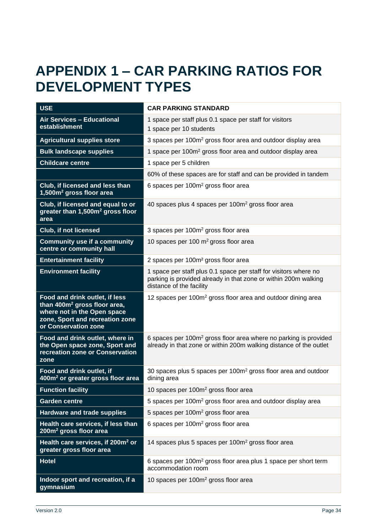# <span id="page-33-0"></span>**APPENDIX 1 – CAR PARKING RATIOS FOR DEVELOPMENT TYPES**

| <b>USE</b>                                                                                                                                                           | <b>CAR PARKING STANDARD</b>                                                                                                                                     |  |
|----------------------------------------------------------------------------------------------------------------------------------------------------------------------|-----------------------------------------------------------------------------------------------------------------------------------------------------------------|--|
| <b>Air Services - Educational</b><br>establishment                                                                                                                   | 1 space per staff plus 0.1 space per staff for visitors<br>1 space per 10 students                                                                              |  |
| <b>Agricultural supplies store</b>                                                                                                                                   | 3 spaces per 100m <sup>2</sup> gross floor area and outdoor display area                                                                                        |  |
| <b>Bulk landscape supplies</b>                                                                                                                                       | 1 space per 100m <sup>2</sup> gross floor area and outdoor display area                                                                                         |  |
| <b>Childcare centre</b>                                                                                                                                              | 1 space per 5 children                                                                                                                                          |  |
|                                                                                                                                                                      | 60% of these spaces are for staff and can be provided in tandem                                                                                                 |  |
| Club, if licensed and less than<br>1,500m <sup>2</sup> gross floor area                                                                                              | 6 spaces per 100m <sup>2</sup> gross floor area                                                                                                                 |  |
| Club, if licensed and equal to or<br>greater than 1,500m <sup>2</sup> gross floor<br>area                                                                            | 40 spaces plus 4 spaces per 100m <sup>2</sup> gross floor area                                                                                                  |  |
| <b>Club, if not licensed</b>                                                                                                                                         | 3 spaces per 100m <sup>2</sup> gross floor area                                                                                                                 |  |
| <b>Community use if a community</b><br>centre or community hall                                                                                                      | 10 spaces per 100 $m2$ gross floor area                                                                                                                         |  |
| <b>Entertainment facility</b>                                                                                                                                        | 2 spaces per 100m <sup>2</sup> gross floor area                                                                                                                 |  |
| <b>Environment facility</b>                                                                                                                                          | 1 space per staff plus 0.1 space per staff for visitors where no<br>parking is provided already in that zone or within 200m walking<br>distance of the facility |  |
| Food and drink outlet, if less<br>than 400m <sup>2</sup> gross floor area,<br>where not in the Open space<br>zone, Sport and recreation zone<br>or Conservation zone | 12 spaces per 100m <sup>2</sup> gross floor area and outdoor dining area                                                                                        |  |
| Food and drink outlet, where in<br>the Open space zone, Sport and<br>recreation zone or Conservation<br>zone                                                         | 6 spaces per 100m <sup>2</sup> gross floor area where no parking is provided<br>already in that zone or within 200m walking distance of the outlet              |  |
| Food and drink outlet, if<br>400m <sup>2</sup> or greater gross floor area                                                                                           | 30 spaces plus 5 spaces per 100m <sup>2</sup> gross floor area and outdoor<br>dining area                                                                       |  |
| <b>Function facility</b>                                                                                                                                             | 10 spaces per 100m <sup>2</sup> gross floor area                                                                                                                |  |
| <b>Garden centre</b>                                                                                                                                                 | 5 spaces per 100m <sup>2</sup> gross floor area and outdoor display area                                                                                        |  |
| <b>Hardware and trade supplies</b>                                                                                                                                   | 5 spaces per 100m <sup>2</sup> gross floor area                                                                                                                 |  |
| Health care services, if less than<br>200m <sup>2</sup> gross floor area                                                                                             | 6 spaces per 100m <sup>2</sup> gross floor area                                                                                                                 |  |
| Health care services, if 200m <sup>2</sup> or<br>greater gross floor area                                                                                            | 14 spaces plus 5 spaces per 100m <sup>2</sup> gross floor area                                                                                                  |  |
| <b>Hotel</b>                                                                                                                                                         | 6 spaces per 100m <sup>2</sup> gross floor area plus 1 space per short term<br>accommodation room                                                               |  |
| Indoor sport and recreation, if a<br>gymnasium                                                                                                                       | 10 spaces per 100m <sup>2</sup> gross floor area                                                                                                                |  |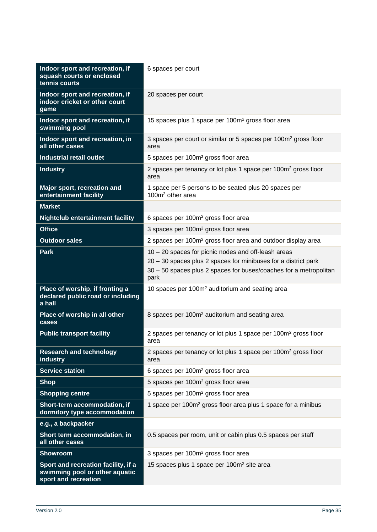| Indoor sport and recreation, if<br>squash courts or enclosed<br>tennis courts                 | 6 spaces per court                                                                                                                                                                                 |  |
|-----------------------------------------------------------------------------------------------|----------------------------------------------------------------------------------------------------------------------------------------------------------------------------------------------------|--|
| Indoor sport and recreation, if<br>indoor cricket or other court<br>game                      | 20 spaces per court                                                                                                                                                                                |  |
| Indoor sport and recreation, if<br>swimming pool                                              | 15 spaces plus 1 space per 100m <sup>2</sup> gross floor area                                                                                                                                      |  |
| Indoor sport and recreation, in<br>all other cases                                            | 3 spaces per court or similar or 5 spaces per 100m <sup>2</sup> gross floor<br>area                                                                                                                |  |
| <b>Industrial retail outlet</b>                                                               | 5 spaces per 100m <sup>2</sup> gross floor area                                                                                                                                                    |  |
| <b>Industry</b>                                                                               | 2 spaces per tenancy or lot plus 1 space per 100m <sup>2</sup> gross floor<br>area                                                                                                                 |  |
| Major sport, recreation and<br>entertainment facility                                         | 1 space per 5 persons to be seated plus 20 spaces per<br>$100m2$ other area                                                                                                                        |  |
| <b>Market</b>                                                                                 |                                                                                                                                                                                                    |  |
| <b>Nightclub entertainment facility</b>                                                       | 6 spaces per 100m <sup>2</sup> gross floor area                                                                                                                                                    |  |
| <b>Office</b>                                                                                 | 3 spaces per 100m <sup>2</sup> gross floor area                                                                                                                                                    |  |
| <b>Outdoor sales</b>                                                                          | 2 spaces per 100m <sup>2</sup> gross floor area and outdoor display area                                                                                                                           |  |
| <b>Park</b>                                                                                   | 10 - 20 spaces for picnic nodes and off-leash areas<br>20 - 30 spaces plus 2 spaces for minibuses for a district park<br>30 - 50 spaces plus 2 spaces for buses/coaches for a metropolitan<br>park |  |
| Place of worship, if fronting a<br>declared public road or including<br>a hall                | 10 spaces per 100m <sup>2</sup> auditorium and seating area                                                                                                                                        |  |
| Place of worship in all other<br>cases                                                        | 8 spaces per 100m <sup>2</sup> auditorium and seating area                                                                                                                                         |  |
| <b>Public transport facility</b>                                                              | 2 spaces per tenancy or lot plus 1 space per 100m <sup>2</sup> gross floor<br>area                                                                                                                 |  |
| <b>Research and technology</b><br>industry                                                    | 2 spaces per tenancy or lot plus 1 space per 100m <sup>2</sup> gross floor<br>area                                                                                                                 |  |
| <b>Service station</b>                                                                        | 6 spaces per 100m <sup>2</sup> gross floor area                                                                                                                                                    |  |
| <b>Shop</b>                                                                                   | 5 spaces per 100m <sup>2</sup> gross floor area                                                                                                                                                    |  |
| <b>Shopping centre</b>                                                                        | 5 spaces per 100m <sup>2</sup> gross floor area                                                                                                                                                    |  |
| Short-term accommodation, if<br>dormitory type accommodation                                  | 1 space per 100m <sup>2</sup> gross floor area plus 1 space for a minibus                                                                                                                          |  |
| e.g., a backpacker                                                                            |                                                                                                                                                                                                    |  |
| Short term accommodation, in<br>all other cases                                               | 0.5 spaces per room, unit or cabin plus 0.5 spaces per staff                                                                                                                                       |  |
| <b>Showroom</b>                                                                               | 3 spaces per 100m <sup>2</sup> gross floor area                                                                                                                                                    |  |
| Sport and recreation facility, if a<br>swimming pool or other aquatic<br>sport and recreation | 15 spaces plus 1 space per 100m <sup>2</sup> site area                                                                                                                                             |  |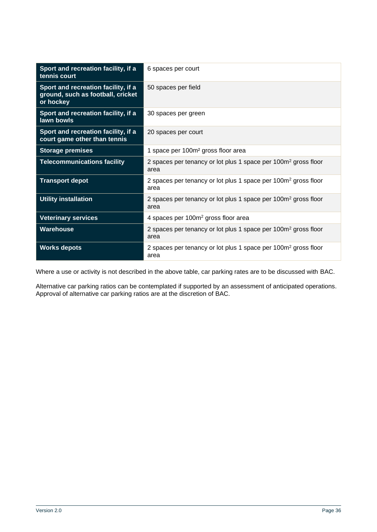| Sport and recreation facility, if a<br>tennis court                                   | 6 spaces per court                                                                 |  |
|---------------------------------------------------------------------------------------|------------------------------------------------------------------------------------|--|
| Sport and recreation facility, if a<br>ground, such as football, cricket<br>or hockey | 50 spaces per field                                                                |  |
| Sport and recreation facility, if a<br>lawn bowls                                     | 30 spaces per green                                                                |  |
| Sport and recreation facility, if a<br>court game other than tennis                   | 20 spaces per court                                                                |  |
| <b>Storage premises</b>                                                               | 1 space per 100m <sup>2</sup> gross floor area                                     |  |
| <b>Telecommunications facility</b>                                                    | 2 spaces per tenancy or lot plus 1 space per 100m <sup>2</sup> gross floor<br>area |  |
| <b>Transport depot</b>                                                                | 2 spaces per tenancy or lot plus 1 space per 100m <sup>2</sup> gross floor<br>area |  |
| <b>Utility installation</b>                                                           | 2 spaces per tenancy or lot plus 1 space per 100m <sup>2</sup> gross floor<br>area |  |
| <b>Veterinary services</b>                                                            | 4 spaces per 100m <sup>2</sup> gross floor area                                    |  |
| <b>Warehouse</b>                                                                      | 2 spaces per tenancy or lot plus 1 space per 100m <sup>2</sup> gross floor<br>area |  |
| <b>Works depots</b>                                                                   | 2 spaces per tenancy or lot plus 1 space per 100m <sup>2</sup> gross floor<br>area |  |

Where a use or activity is not described in the above table, car parking rates are to be discussed with BAC.

Alternative car parking ratios can be contemplated if supported by an assessment of anticipated operations. Approval of alternative car parking ratios are at the discretion of BAC.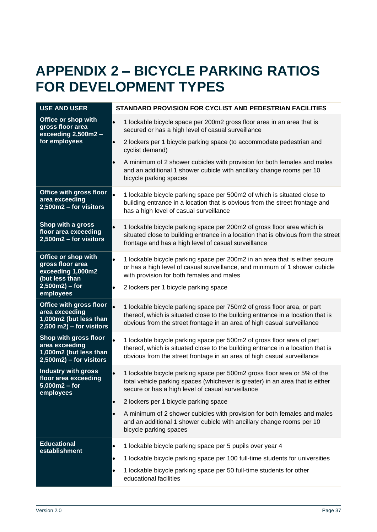# <span id="page-36-0"></span>**APPENDIX 2 – BICYCLE PARKING RATIOS FOR DEVELOPMENT TYPES**

| <b>USE AND USER</b>                                                                                      | STANDARD PROVISION FOR CYCLIST AND PEDESTRIAN FACILITIES                                                                                                                                                                              |
|----------------------------------------------------------------------------------------------------------|---------------------------------------------------------------------------------------------------------------------------------------------------------------------------------------------------------------------------------------|
| Office or shop with<br>gross floor area<br>exceeding 2,500m2 -<br>for employees                          | 1 lockable bicycle space per 200m2 gross floor area in an area that is<br>$\bullet$<br>secured or has a high level of casual surveillance                                                                                             |
|                                                                                                          | 2 lockers per 1 bicycle parking space (to accommodate pedestrian and<br>$\bullet$<br>cyclist demand)                                                                                                                                  |
|                                                                                                          | A minimum of 2 shower cubicles with provision for both females and males<br>$\bullet$<br>and an additional 1 shower cubicle with ancillary change rooms per 10<br>bicycle parking spaces                                              |
| <b>Office with gross floor</b><br>area exceeding<br>2,500m2 - for visitors                               | 1 lockable bicycle parking space per 500m2 of which is situated close to<br>building entrance in a location that is obvious from the street frontage and<br>has a high level of casual surveillance                                   |
| Shop with a gross<br>floor area exceeding<br>2,500m2 - for visitors                                      | 1 lockable bicycle parking space per 200m2 of gross floor area which is<br>situated close to building entrance in a location that is obvious from the street<br>frontage and has a high level of casual surveillance                  |
| Office or shop with<br>gross floor area<br>exceeding 1,000m2<br>(but less than                           | 1 lockable bicycle parking space per 200m2 in an area that is either secure<br>$\bullet$<br>or has a high level of casual surveillance, and minimum of 1 shower cubicle<br>with provision for both females and males                  |
| $2,500m2$ ) – for<br>employees                                                                           | 2 lockers per 1 bicycle parking space                                                                                                                                                                                                 |
| <b>Office with gross floor</b><br>area exceeding<br>1,000m2 (but less than<br>$2,500$ m2) – for visitors | 1 lockable bicycle parking space per 750m2 of gross floor area, or part<br>thereof, which is situated close to the building entrance in a location that is<br>obvious from the street frontage in an area of high casual surveillance |
| Shop with gross floor<br>area exceeding<br>1,000m2 (but less than<br>$2,500m2$ ) – for visitors          | 1 lockable bicycle parking space per 500m2 of gross floor area of part<br>thereof, which is situated close to the building entrance in a location that is<br>obvious from the street frontage in an area of high casual surveillance  |
| <b>Industry with gross</b><br>floor area exceeding<br>$5,000m2 - for$<br>employees                       | 1 lockable bicycle parking space per 500m2 gross floor area or 5% of the<br>total vehicle parking spaces (whichever is greater) in an area that is either<br>secure or has a high level of casual surveillance                        |
|                                                                                                          | 2 lockers per 1 bicycle parking space<br>$\bullet$                                                                                                                                                                                    |
|                                                                                                          | A minimum of 2 shower cubicles with provision for both females and males<br>$\bullet$<br>and an additional 1 shower cubicle with ancillary change rooms per 10<br>bicycle parking spaces                                              |
| <b>Educational</b><br>establishment                                                                      | 1 lockable bicycle parking space per 5 pupils over year 4                                                                                                                                                                             |
|                                                                                                          | 1 lockable bicycle parking space per 100 full-time students for universities<br>$\bullet$                                                                                                                                             |
|                                                                                                          | 1 lockable bicycle parking space per 50 full-time students for other<br>$\bullet$<br>educational facilities                                                                                                                           |